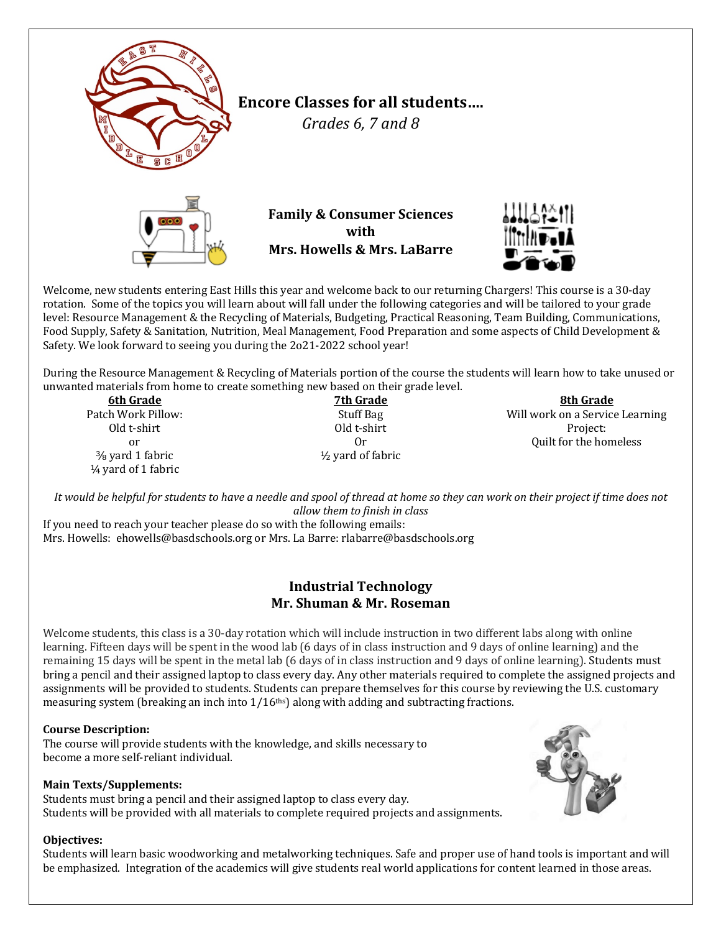

Welcome, new students entering East Hills this year and welcome back to our returning Chargers! This course is a 30-day rotation. Some of the topics you will learn about will fall under the following categories and will be tailored to your grade level: Resource Management & the Recycling of Materials, Budgeting, Practical Reasoning, Team Building, Communications, Food Supply, Safety & Sanitation, Nutrition, Meal Management, Food Preparation and some aspects of Child Development & Safety. We look forward to seeing you during the 2o21-2022 school year!

During the Resource Management & Recycling of Materials portion of the course the students will learn how to take unused or unwanted materials from home to create something new based on their grade level.

**6th Grade** Patch Work Pillow: Old t-shirt or <sup>3</sup>/<sub>8</sub> yard 1 fabric  $\frac{1}{4}$  yard of 1 fabric

**7th Grade** Stuff Bag Old t-shirt Or  $\frac{1}{2}$  vard of fabric

**8th Grade** Will work on a Service Learning Project: Ouilt for the homeless

It would be helpful for students to have a needle and spool of thread at home so they can work on their project if time does not *allow them to finish in class*

If you need to reach your teacher please do so with the following emails: Mrs. Howells: ehowells@basdschools.org or Mrs. La Barre: rlabarre@basdschools.org

### **Industrial Technology Mr. Shuman & Mr. Roseman**

Welcome students, this class is a 30-day rotation which will include instruction in two different labs along with online learning. Fifteen days will be spent in the wood lab (6 days of in class instruction and 9 days of online learning) and the remaining 15 days will be spent in the metal lab (6 days of in class instruction and 9 days of online learning). Students must bring a pencil and their assigned laptop to class every day. Any other materials required to complete the assigned projects and assignments will be provided to students. Students can prepare themselves for this course by reviewing the U.S. customary measuring system (breaking an inch into  $1/16<sup>ths</sup>$ ) along with adding and subtracting fractions.

#### **Course Description:**

The course will provide students with the knowledge, and skills necessary to become a more self-reliant individual.

#### **Main Texts/Supplements:**

Students must bring a pencil and their assigned laptop to class every day. Students will be provided with all materials to complete required projects and assignments.

#### **Objectives:**

Students will learn basic woodworking and metalworking techniques. Safe and proper use of hand tools is important and will be emphasized. Integration of the academics will give students real world applications for content learned in those areas.

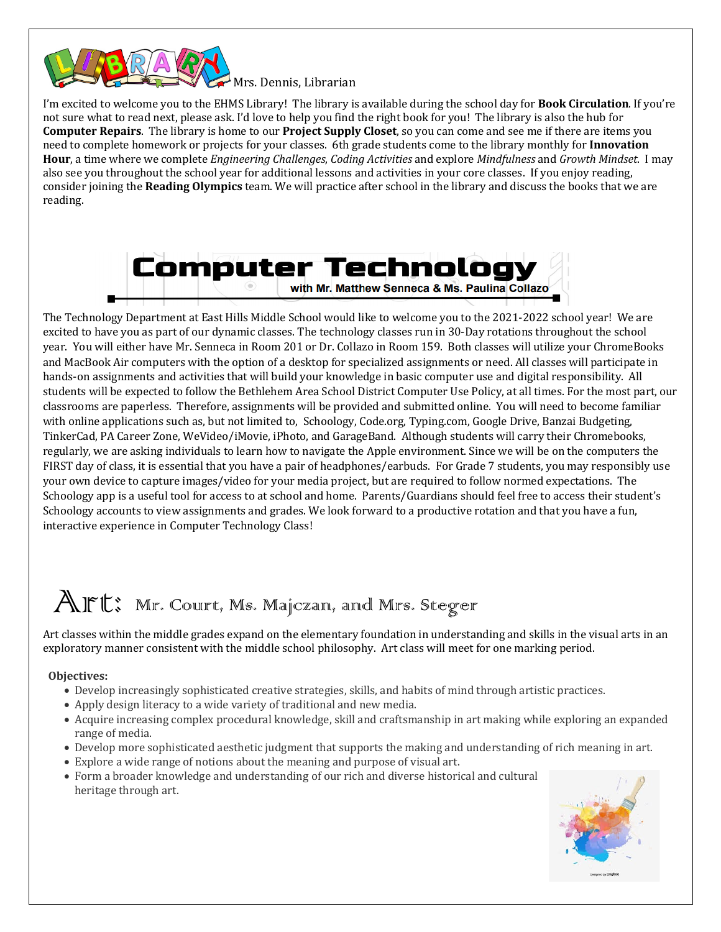

 $^{\blacktriangle}$  Mrs. Dennis, Librarian

I'm excited to welcome you to the EHMS Library! The library is available during the school day for **Book Circulation**. If you're not sure what to read next, please ask. I'd love to help you find the right book for you! The library is also the hub for **Computer Repairs**. The library is home to our **Project Supply Closet**, so you can come and see me if there are items you need to complete homework or projects for your classes. 6th grade students come to the library monthly for **Innovation Hour**, a time where we complete *Engineering Challenges, Coding Activities* and explore *Mindfulness* and *Growth Mindset*. I may also see you throughout the school year for additional lessons and activities in your core classes. If you enjoy reading, consider joining the **Reading Olympics** team. We will practice after school in the library and discuss the books that we are reading.



The Technology Department at East Hills Middle School would like to welcome you to the 2021-2022 school year! We are excited to have you as part of our dynamic classes. The technology classes run in 30-Day rotations throughout the school year. You will either have Mr. Senneca in Room 201 or Dr. Collazo in Room 159. Both classes will utilize your ChromeBooks and MacBook Air computers with the option of a desktop for specialized assignments or need. All classes will participate in hands-on assignments and activities that will build your knowledge in basic computer use and digital responsibility. All students will be expected to follow the Bethlehem Area School District Computer Use Policy, at all times. For the most part, our classrooms are paperless. Therefore, assignments will be provided and submitted online. You will need to become familiar with online applications such as, but not limited to, Schoology, Code.org, Typing.com, Google Drive, Banzai Budgeting, TinkerCad, PA Career Zone, WeVideo/iMovie, iPhoto, and GarageBand. Although students will carry their Chromebooks, regularly, we are asking individuals to learn how to navigate the Apple environment. Since we will be on the computers the FIRST day of class, it is essential that you have a pair of headphones/earbuds. For Grade 7 students, you may responsibly use your own device to capture images/video for your media project, but are required to follow normed expectations. The Schoology app is a useful tool for access to at school and home. Parents/Guardians should feel free to access their student's Schoology accounts to view assignments and grades. We look forward to a productive rotation and that you have a fun, interactive experience in Computer Technology Class!

## Art: Mr. Court, Ms. Majczan, and Mrs. Steger

Art classes within the middle grades expand on the elementary foundation in understanding and skills in the visual arts in an exploratory manner consistent with the middle school philosophy. Art class will meet for one marking period.

#### **Objectives:**

- Develop increasingly sophisticated creative strategies, skills, and habits of mind through artistic practices.
- Apply design literacy to a wide variety of traditional and new media.
- Acquire increasing complex procedural knowledge, skill and craftsmanship in art making while exploring an expanded range of media.
- Develop more sophisticated aesthetic judgment that supports the making and understanding of rich meaning in art.
- Explore a wide range of notions about the meaning and purpose of visual art.
- Form a broader knowledge and understanding of our rich and diverse historical and cultural heritage through art.